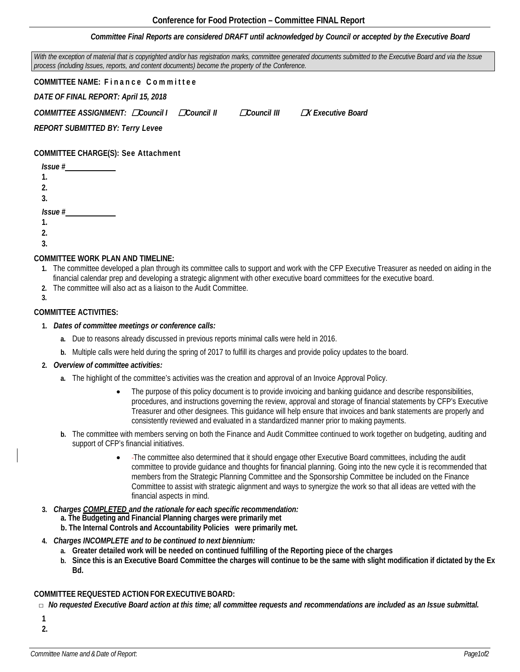## *Committee Final Reports are considered DRAFT until acknowledged by Council or accepted by the Executive Board*

With the exception of material that is copyrighted and/or has registration marks, committee generated documents submitted to the Executive Board and via the Issue *process (including Issues, reports, and content documents) become the property of the Conference.*

**COMMITTEE NAME: Finance Committee** *DATE OF FINAL REPORT: April 15, 2018 COMMITTEE ASSIGNMENT:* ☐*Council I* ☐*Council II* ☐*Council III* ☐**<sup>X</sup>** *Executive Board*

*REPORT SUBMITTED BY: Terry Levee*

**COMMITTEE CHARGE(S): See Attachment**

| Issue # |  |
|---------|--|
| 1.      |  |
| 2.      |  |
| 3.      |  |
| Issue # |  |
| 1.      |  |
| 2.      |  |
| 3.      |  |

### **COMMITTEE WORK PLAN AND TIMELINE:**

- **1.** The committee developed a plan through its committee calls to support and work with the CFP Executive Treasurer as needed on aiding in the financial calendar prep and developing a strategic alignment with other executive board committees for the executive board.
- **2.** The committee will also act as a liaison to the Audit Committee.
- **3.**

## **COMMITTEE ACTIVITIES:**

- **1.** *Dates of committee meetings or conference calls:*
	- **a.** Due to reasons already discussed in previous reports minimal calls were held in 2016.
	- **b.** Multiple calls were held during the spring of 2017 to fulfill its charges and provide policy updates to the board.

#### **2.** *Overview of committee activities:*

- **a.** The highlight of the committee's activities was the creation and approval of an Invoice Approval Policy.
	- The purpose of this policy document is to provide invoicing and banking guidance and describe responsibilities, procedures, and instructions governing the review, approval and storage of financial statements by CFP's Executive Treasurer and other designees. This guidance will help ensure that invoices and bank statements are properly and consistently reviewed and evaluated in a standardized manner prior to making payments.
- **b.** The committee with members serving on both the Finance and Audit Committee continued to work together on budgeting, auditing and support of CFP's financial initiatives.
	- The committee also determined that it should engage other Executive Board committees, including the audit committee to provide guidance and thoughts for financial planning. Going into the new cycle it is recommended that members from the Strategic Planning Committee and the Sponsorship Committee be included on the Finance Committee to assist with strategic alignment and ways to synergize the work so that all ideas are vetted with the financial aspects in mind.
- **3.** *Charges COMPLETED and the rationale for each specific recommendation:*
	- **a. The Budgeting and Financial Planning charges were primarily met**
	- **b. The Internal Controls and Accountability Policies were primarily met.**
- **4.** *Charges INCOMPLETE and to be continued to next biennium:*
	- **a. Greater detailed work will be needed on continued fulfilling of the Reporting piece of the charges**
	- **b. Since this is an Executive Board Committee the charges will continue to be the same with slight modification if dictated by the Ex Bd.**

## **COMMITTEE REQUESTED ACTION FOR EXECUTIVE BOARD:**

 $\Box$  No requested Executive Board action at this time; all committee requests and recommendations are included as an Issue submittal.

**1 2.**